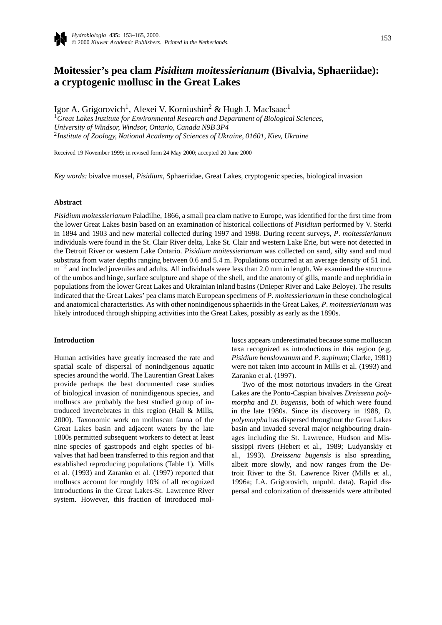

# **Moitessier's pea clam** *Pisidium moitessierianum* **(Bivalvia, Sphaeriidae): a cryptogenic mollusc in the Great Lakes**

Igor A. Grigorovich<sup>1</sup>, Alexei V. Korniushin<sup>2</sup> & Hugh J. MacIsaac<sup>1</sup>

<sup>1</sup>*Great Lakes Institute for Environmental Research and Department of Biological Sciences, University of Windsor, Windsor, Ontario, Canada N9B 3P4* <sup>2</sup>*Institute of Zoology, National Academy of Sciences of Ukraine, 01601, Kiev, Ukraine*

Received 19 November 1999; in revised form 24 May 2000; accepted 20 June 2000

*Key words:* bivalve mussel, *Pisidium*, Sphaeriidae, Great Lakes, cryptogenic species, biological invasion

## **Abstract**

*Pisidium moitessierianum* Paladilhe, 1866, a small pea clam native to Europe, was identified for the first time from the lower Great Lakes basin based on an examination of historical collections of *Pisidium* performed by V. Sterki in 1894 and 1903 and new material collected during 1997 and 1998. During recent surveys, *P*. *moitessierianum* individuals were found in the St. Clair River delta, Lake St. Clair and western Lake Erie, but were not detected in the Detroit River or western Lake Ontario. *Pisidium moitessierianum* was collected on sand, silty sand and mud substrata from water depths ranging between 0.6 and 5.4 m. Populations occurred at an average density of 51 ind.  $m^{-2}$  and included juveniles and adults. All individuals were less than 2.0 mm in length. We examined the structure of the umbos and hinge, surface sculpture and shape of the shell, and the anatomy of gills, mantle and nephridia in populations from the lower Great Lakes and Ukrainian inland basins (Dnieper River and Lake Beloye). The results indicated that the Great Lakes' pea clams match European specimens of *P*. *moitessierianum* in these conchological and anatomical characteristics. As with other nonindigenous sphaeriids in the Great Lakes, *P*. *moitessierianum* was likely introduced through shipping activities into the Great Lakes, possibly as early as the 1890s.

## **Introduction**

Human activities have greatly increased the rate and spatial scale of dispersal of nonindigenous aquatic species around the world. The Laurentian Great Lakes provide perhaps the best documented case studies of biological invasion of nonindigenous species, and molluscs are probably the best studied group of introduced invertebrates in this region (Hall & Mills, 2000). Taxonomic work on molluscan fauna of the Great Lakes basin and adjacent waters by the late 1800s permitted subsequent workers to detect at least nine species of gastropods and eight species of bivalves that had been transferred to this region and that established reproducing populations (Table 1). Mills et al. (1993) and Zaranko et al. (1997) reported that molluscs account for roughly 10% of all recognized introductions in the Great Lakes-St. Lawrence River system. However, this fraction of introduced molluscs appears underestimated because some molluscan taxa recognized as introductions in this region (e.g. *Pisidium henslowanum* and *P*. *supinum*; Clarke, 1981) were not taken into account in Mills et al. (1993) and Zaranko et al. (1997).

Two of the most notorious invaders in the Great Lakes are the Ponto-Caspian bivalves *Dreissena polymorpha* and *D*. *bugensis*, both of which were found in the late 1980s. Since its discovery in 1988, *D*. *polymorpha* has dispersed throughout the Great Lakes basin and invaded several major neighbouring drainages including the St. Lawrence, Hudson and Mississippi rivers (Hebert et al., 1989; Ludyanskiy et al., 1993). *Dreissena bugensis* is also spreading, albeit more slowly, and now ranges from the Detroit River to the St. Lawrence River (Mills et al., 1996a; I.A. Grigorovich, unpubl. data). Rapid dispersal and colonization of dreissenids were attributed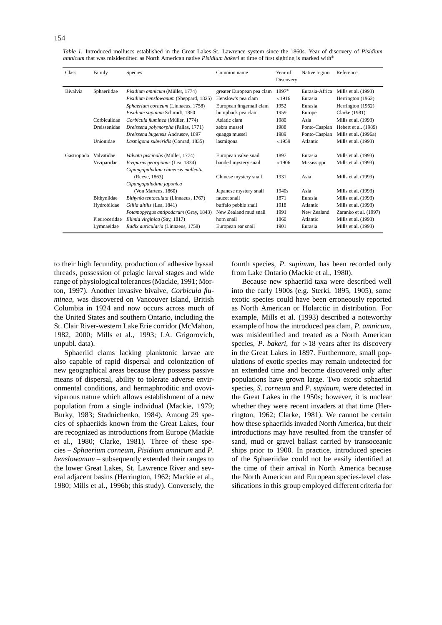| Class      | Family        | <b>Species</b>                        | Common name               | Year of<br>Discovery | Native region  | Reference             |
|------------|---------------|---------------------------------------|---------------------------|----------------------|----------------|-----------------------|
| Bivalvia   | Sphaeriidae   | Pisidium amnicum (Müller, 1774)       | greater European pea clam | 1897*                | Eurasia-Africa | Mills et al. (1993)   |
|            |               | Pisidium henslowanum (Sheppard, 1825) | Henslow's pea clam        | < 1916               | Eurasia        | Herrington (1962)     |
|            |               | Sphaerium corneum (Linnaeus, 1758)    | European fingernail clam  | 1952                 | Eurasia        | Herrington (1962)     |
|            |               | Pisidium supinum Schmidt, 1850        | humpback pea clam         | 1959                 | Europe         | Clarke (1981)         |
|            | Corbiculidae  | Corbicula fluminea (Müller, 1774)     | Asiatic clam              | 1980                 | Asia           | Mills et al. (1993)   |
|            | Dreissenidae  | Dreissena polymorpha (Pallas, 1771)   | zebra mussel              | 1988                 | Ponto-Caspian  | Hebert et al. (1989)  |
|            |               | Dreissena bugensis Andrusov, 1897     | quagga mussel             | 1989                 | Ponto-Caspian  | Mills et al. (1996a)  |
|            | Unionidae     | Lasmigona subviridis (Conrad, 1835)   | lasmigona                 | < 1959               | Atlantic       | Mills et al. (1993)   |
| Gastropoda | Valvatidae    | Valvata piscinalis (Müller, 1774)     | European valve snail      | 1897                 | Eurasia        | Mills et al. (1993)   |
|            | Viviparidae   | Viviparus georgianus (Lea, 1834)      | banded mystery snail      | < 1906               | Mississippi    | Mills et al. (1993)   |
|            |               | Cipangopaludina chinensis malleata    |                           |                      |                |                       |
|            |               | (Reeve, 1863)                         | Chinese mystery snail     | 1931                 | Asia           | Mills et al. (1993)   |
|            |               | Cipangopaludina japonica              |                           |                      |                |                       |
|            |               | (Von Martens, 1860)                   | Japanese mystery snail    | 1940s                | Asia           | Mills et al. (1993)   |
|            | Bithyniidae   | Bithynia tentaculata (Linnaeus, 1767) | faucet snail              | 1871                 | Eurasia        | Mills et al. (1993)   |
|            | Hydrobiidae   | Gillia altilis (Lea, 1841)            | buffalo pebble snail      | 1918                 | Atlantic       | Mills et al. (1993)   |
|            |               | Potamopyrgus antipodarum (Gray, 1843) | New Zealand mud snail     | 1991                 | New Zealand    | Zaranko et al. (1997) |
|            | Pleuroceridae | Elimia virginica (Say, 1817)          | horn snail                | 1860                 | Atlantic       | Mills et al. (1993)   |
|            | Lymnaeidae    | Radix auricularia (Linnaeus, 1758)    | European ear snail        | 1901                 | Eurasia        | Mills et al. (1993)   |

*Table 1.* Introduced molluscs established in the Great Lakes-St. Lawrence system since the 1860s. Year of discovery of *Pisidium amnicum* that was misidentified as North American native *Pisidium bakeri* at time of first sighting is marked with∗

to their high fecundity, production of adhesive byssal threads, possession of pelagic larval stages and wide range of physiological tolerances (Mackie, 1991; Morton, 1997). Another invasive bivalve, *Corbicula fluminea*, was discovered on Vancouver Island, British Columbia in 1924 and now occurs across much of the United States and southern Ontario, including the St. Clair River-western Lake Erie corridor (McMahon, 1982, 2000; Mills et al., 1993; I.A. Grigorovich, unpubl. data).

Sphaeriid clams lacking planktonic larvae are also capable of rapid dispersal and colonization of new geographical areas because they possess passive means of dispersal, ability to tolerate adverse environmental conditions, and hermaphroditic and ovoviviparous nature which allows establishment of a new population from a single individual (Mackie, 1979; Burky, 1983; Stadnichenko, 1984). Among 29 species of sphaeriids known from the Great Lakes, four are recognized as introductions from Europe (Mackie et al., 1980; Clarke, 1981). Three of these species – *Sphaerium corneum*, *Pisidium amnicum* and *P*. *henslowanum* – subsequently extended their ranges to the lower Great Lakes, St. Lawrence River and several adjacent basins (Herrington, 1962; Mackie et al., 1980; Mills et al., 1996b; this study). Conversely, the fourth species, *P*. *supinum*, has been recorded only from Lake Ontario (Mackie et al., 1980).

Because new sphaeriid taxa were described well into the early 1900s (e.g. Sterki, 1895, 1905), some exotic species could have been erroneously reported as North American or Holarctic in distribution. For example, Mills et al. (1993) described a noteworthy example of how the introduced pea clam, *P*. *amnicum*, was misidentified and treated as a North American species, *P*. *bakeri*, for *>*18 years after its discovery in the Great Lakes in 1897. Furthermore, small populations of exotic species may remain undetected for an extended time and become discovered only after populations have grown large. Two exotic sphaeriid species, *S*. *corneum* and *P*. *supinum*, were detected in the Great Lakes in the 1950s; however, it is unclear whether they were recent invaders at that time (Herrington, 1962; Clarke, 1981). We cannot be certain how these sphaeriids invaded North America, but their introductions may have resulted from the transfer of sand, mud or gravel ballast carried by transoceanic ships prior to 1900. In practice, introduced species of the Sphaeriidae could not be easily identified at the time of their arrival in North America because the North American and European species-level classifications in this group employed different criteria for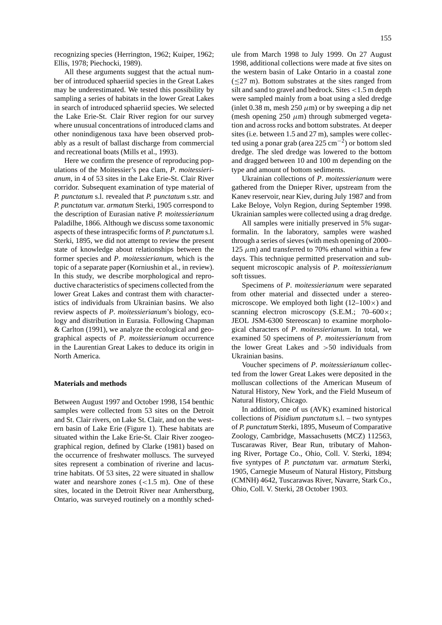recognizing species (Herrington, 1962; Kuiper, 1962; Ellis, 1978; Piechocki, 1989).

All these arguments suggest that the actual number of introduced sphaeriid species in the Great Lakes may be underestimated. We tested this possibility by sampling a series of habitats in the lower Great Lakes in search of introduced sphaeriid species. We selected the Lake Erie-St. Clair River region for our survey where unusual concentrations of introduced clams and other nonindigenous taxa have been observed probably as a result of ballast discharge from commercial and recreational boats (Mills et al., 1993).

Here we confirm the presence of reproducing populations of the Moitessier's pea clam, *P*. *moitessierianum*, in 4 of 53 sites in the Lake Erie-St. Clair River corridor. Subsequent examination of type material of *P. punctatum* s.l. revealed that *P. punctatum* s.str. and *P. punctatum* var. *armatum* Sterki, 1905 correspond to the description of Eurasian native *P. moitessierianum* Paladilhe, 1866. Although we discuss some taxonomic aspects of these intraspecific forms of *P. punctatum* s.l. Sterki, 1895, we did not attempt to review the present state of knowledge about relationships between the former species and *P*. *moitessierianum*, which is the topic of a separate paper (Korniushin et al., in review). In this study, we describe morphological and reproductive characteristics of specimens collected from the lower Great Lakes and contrast them with characteristics of individuals from Ukrainian basins. We also review aspects of *P*. *moitessierianum*'s biology, ecology and distribution in Eurasia. Following Chapman & Carlton (1991), we analyze the ecological and geographical aspects of *P*. *moitessierianum* occurrence in the Laurentian Great Lakes to deduce its origin in North America.

## **Materials and methods**

Between August 1997 and October 1998, 154 benthic samples were collected from 53 sites on the Detroit and St. Clair rivers, on Lake St. Clair, and on the western basin of Lake Erie (Figure 1). These habitats are situated within the Lake Erie-St. Clair River zoogeographical region, defined by Clarke (1981) based on the occurrence of freshwater molluscs. The surveyed sites represent a combination of riverine and lacustrine habitats. Of 53 sites, 22 were situated in shallow water and nearshore zones (*<*1.5 m). One of these sites, located in the Detroit River near Amherstburg, Ontario, was surveyed routinely on a monthly schedule from March 1998 to July 1999. On 27 August 1998, additional collections were made at five sites on the western basin of Lake Ontario in a coastal zone (≤27 m). Bottom substrates at the sites ranged from silt and sand to gravel and bedrock. Sites *<*1.5 m depth were sampled mainly from a boat using a sled dredge (inlet 0.38 m, mesh  $250 \mu m$ ) or by sweeping a dip net (mesh opening  $250 \mu m$ ) through submerged vegetation and across rocks and bottom substrates. At deeper sites (i.e. between 1.5 and 27 m), samples were collected using a ponar grab (area 225 cm<sup>-2</sup>) or bottom sled dredge. The sled dredge was lowered to the bottom and dragged between 10 and 100 m depending on the type and amount of bottom sediments.

Ukrainian collections of *P*. *moitessierianum* were gathered from the Dnieper River, upstream from the Kanev reservoir, near Kiev, during July 1987 and from Lake Beloye, Volyn Region, during September 1998. Ukrainian samples were collected using a drag dredge.

All samples were initially preserved in 5% sugarformalin. In the laboratory, samples were washed through a series of sieves (with mesh opening of 2000–  $125 \mu m$ ) and transferred to 70% ethanol within a few days. This technique permitted preservation and subsequent microscopic analysis of *P*. *moitessierianum* soft tissues.

Specimens of *P*. *moitessierianum* were separated from other material and dissected under a stereomicroscope. We employed both light  $(12-100\times)$  and scanning electron microscopy (S.E.M.; 70–600×; JEOL JSM-6300 Stereoscan) to examine morphological characters of *P*. *moitessierianum*. In total, we examined 50 specimens of *P*. *moitessierianum* from the lower Great Lakes and *>*50 individuals from Ukrainian basins.

Voucher specimens of *P*. *moitessierianum* collected from the lower Great Lakes were deposited in the molluscan collections of the American Museum of Natural History, New York, and the Field Museum of Natural History, Chicago.

In addition, one of us (AVK) examined historical collections of *Pisidium punctatum* s.l. – two syntypes of *P. punctatum* Sterki, 1895, Museum of Comparative Zoology, Cambridge, Massachusetts (MCZ) 112563, Tuscarawas River, Bear Run, tributary of Mahoning River, Portage Co., Ohio, Coll. V. Sterki, 1894; five syntypes of *P. punctatum* var. *armatum* Sterki, 1905, Carnegie Museum of Natural History, Pittsburg (CMNH) 4642, Tuscarawas River, Navarre, Stark Co., Ohio, Coll. V. Sterki, 28 October 1903.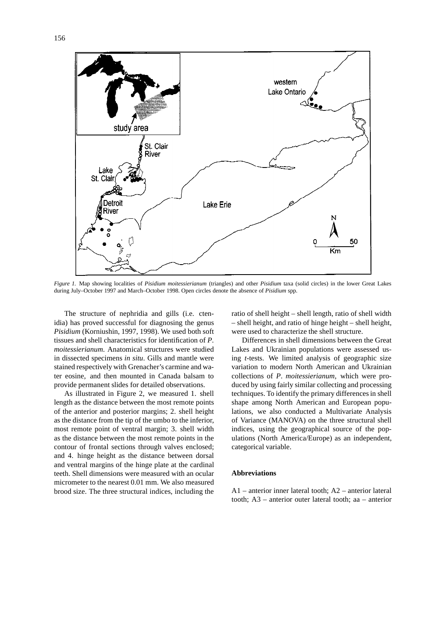

*Figure 1.* Map showing localities of *Pisidium moitessierianum* (triangles) and other *Pisidium* taxa (solid circles) in the lower Great Lakes during July–October 1997 and March–October 1998. Open circles denote the absence of *Pisidium* spp.

The structure of nephridia and gills (i.e. ctenidia) has proved successful for diagnosing the genus *Pisidium* (Korniushin, 1997, 1998). We used both soft tissues and shell characteristics for identification of *P*. *moitessierianum*. Anatomical structures were studied in dissected specimens *in situ*. Gills and mantle were stained respectively with Grenacher's carmine and water eosine, and then mounted in Canada balsam to provide permanent slides for detailed observations.

As illustrated in Figure 2, we measured 1. shell length as the distance between the most remote points of the anterior and posterior margins; 2. shell height as the distance from the tip of the umbo to the inferior, most remote point of ventral margin; 3. shell width as the distance between the most remote points in the contour of frontal sections through valves enclosed; and 4. hinge height as the distance between dorsal and ventral margins of the hinge plate at the cardinal teeth. Shell dimensions were measured with an ocular micrometer to the nearest 0.01 mm. We also measured brood size. The three structural indices, including the

ratio of shell height – shell length, ratio of shell width – shell height, and ratio of hinge height – shell height, were used to characterize the shell structure.

Differences in shell dimensions between the Great Lakes and Ukrainian populations were assessed using *t*-tests. We limited analysis of geographic size variation to modern North American and Ukrainian collections of *P*. *moitessierianum*, which were produced by using fairly similar collecting and processing techniques. To identify the primary differences in shell shape among North American and European populations, we also conducted a Multivariate Analysis of Variance (MANOVA) on the three structural shell indices, using the geographical source of the populations (North America/Europe) as an independent, categorical variable.

#### **Abbreviations**

A1 – anterior inner lateral tooth; A2 – anterior lateral tooth; A3 – anterior outer lateral tooth; aa – anterior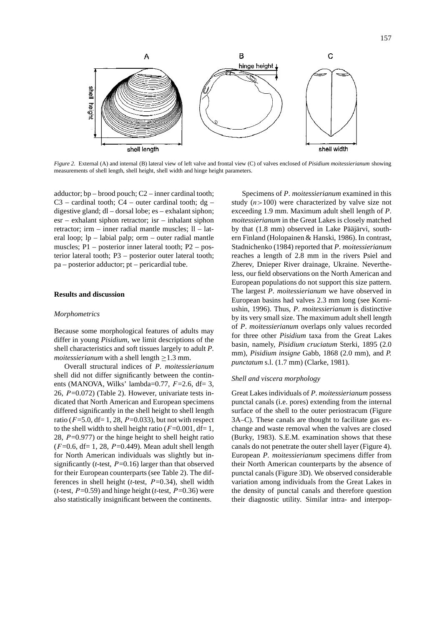

*Figure 2.* External (A) and internal (B) lateral view of left valve and frontal view (C) of valves enclosed of *Pisidium moitessierianum* showing measurements of shell length, shell height, shell width and hinge height parameters.

adductor; bp – brood pouch;  $C2$  – inner cardinal tooth;  $C3$  – cardinal tooth;  $C4$  – outer cardinal tooth;  $dg$  – digestive gland; dl – dorsal lobe; es – exhalant siphon; esr – exhalant siphon retractor; isr – inhalant siphon retractor; irm – inner radial mantle muscles; ll – lateral loop; lp – labial palp; orm – outer radial mantle muscles; P1 – posterior inner lateral tooth; P2 – posterior lateral tooth; P3 – posterior outer lateral tooth; pa – posterior adductor; pt – pericardial tube.

## **Results and discussion**

#### *Morphometrics*

Because some morphological features of adults may differ in young *Pisidium*, we limit descriptions of the shell characteristics and soft tissues largely to adult *P*. *moitessierianum* with a shell length  $\geq$ 1.3 mm.

Overall structural indices of *P*. *moitessierianum* shell did not differ significantly between the continents (MANOVA, Wilks' lambda=0.77, *F*=2.6, df= 3, 26, *P*=0.072) (Table 2). However, univariate tests indicated that North American and European specimens differed significantly in the shell height to shell length ratio ( $F = 5.0$ , df = 1, 28,  $P = 0.033$ ), but not with respect to the shell width to shell height ratio ( $F=0.001$ , df= 1, 28, *P*=0.977) or the hinge height to shell height ratio (*F*=0.6, df= 1, 28, *P*=0.449). Mean adult shell length for North American individuals was slightly but insignificantly (*t*-test, *P*=0.16) larger than that observed for their European counterparts (see Table 2). The differences in shell height (*t*-test, *P*=0.34), shell width ( $t$ -test,  $P=0.59$ ) and hinge height ( $t$ -test,  $P=0.36$ ) were also statistically insignificant between the continents.

Specimens of *P*. *moitessierianum* examined in this study (*n>*100) were characterized by valve size not exceeding 1.9 mm. Maximum adult shell length of *P*. *moitessierianum* in the Great Lakes is closely matched by that (1.8 mm) observed in Lake Pääjärvi, southern Finland (Holopainen & Hanski, 1986). In contrast, Stadnichenko (1984) reported that *P*. *moitessierianum* reaches a length of 2.8 mm in the rivers Psiel and Zherev, Dnieper River drainage, Ukraine. Nevertheless, our field observations on the North American and European populations do not support this size pattern. The largest *P*. *moitessierianum* we have observed in European basins had valves 2.3 mm long (see Korniushin, 1996). Thus, *P*. *moitessierianum* is distinctive by its very small size. The maximum adult shell length of *P*. *moitessierianum* overlaps only values recorded for three other *Pisidium* taxa from the Great Lakes basin, namely, *Pisidium cruciatum* Sterki, 1895 (2.0 mm), *Pisidium insigne* Gabb, 1868 (2.0 mm), and *P. punctatum* s.l. (1.7 mm) (Clarke, 1981).

## *Shell and viscera morphology*

Great Lakes individuals of *P*. *moitessierianum* possess punctal canals (i.e. pores) extending from the internal surface of the shell to the outer periostracum (Figure 3A–C). These canals are thought to facilitate gas exchange and waste removal when the valves are closed (Burky, 1983). S.E.M. examination shows that these canals do not penetrate the outer shell layer (Figure 4). European *P*. *moitessierianum* specimens differ from their North American counterparts by the absence of punctal canals (Figure 3D). We observed considerable variation among individuals from the Great Lakes in the density of punctal canals and therefore question their diagnostic utility. Similar intra- and interpop-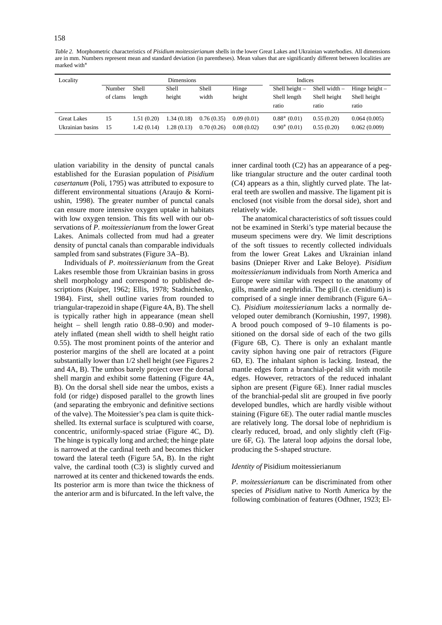*Table 2.* Morphometric characteristics of *Pisidium moitessierianum* shells in the lower Great Lakes and Ukrainian waterbodies. All dimensions are in mm. Numbers represent mean and standard deviation (in parentheses). Mean values that are significantly different between localities are marked with∗

| Locality           |          |            | <b>Dimensions</b> |            |            | Indices          |                 |                  |
|--------------------|----------|------------|-------------------|------------|------------|------------------|-----------------|------------------|
|                    | Number   | Shell      | Shell             | Shell      | Hinge      | Shell height $-$ | Shell width $-$ | Hinge height $-$ |
|                    | of clams | length     | height            | width      | height     | Shell length     | Shell height    | Shell height     |
|                    |          |            |                   |            |            | ratio            | ratio           | ratio            |
| <b>Great Lakes</b> | 15       | 1.51(0.20) | 1.34(0.18)        | 0.76(0.35) | 0.09(0.01) | $0.88*$ (0.01)   | 0.55(0.20)      | 0.064(0.005)     |
| Ukrainian basins   | -15      | 1.42(0.14) | 1.28(0.13)        | 0.70(0.26) | 0.08(0.02) | $0.90*(0.01)$    | 0.55(0.20)      | 0.062(0.009)     |

ulation variability in the density of punctal canals established for the Eurasian population of *Pisidium casertanum* (Poli, 1795) was attributed to exposure to different environmental situations (Araujo & Korniushin, 1998). The greater number of punctal canals can ensure more intensive oxygen uptake in habitats with low oxygen tension. This fits well with our observations of *P*. *moitessierianum* from the lower Great Lakes. Animals collected from mud had a greater density of punctal canals than comparable individuals sampled from sand substrates (Figure 3A–B).

Individuals of *P*. *moitessierianum* from the Great Lakes resemble those from Ukrainian basins in gross shell morphology and correspond to published descriptions (Kuiper, 1962; Ellis, 1978; Stadnichenko, 1984). First, shell outline varies from rounded to triangular-trapezoid in shape (Figure 4A, B). The shell is typically rather high in appearance (mean shell height – shell length ratio 0.88–0.90) and moderately inflated (mean shell width to shell height ratio 0.55). The most prominent points of the anterior and posterior margins of the shell are located at a point substantially lower than 1/2 shell height (see Figures 2 and 4A, B). The umbos barely project over the dorsal shell margin and exhibit some flattening (Figure 4A, B). On the dorsal shell side near the umbos, exists a fold (or ridge) disposed parallel to the growth lines (and separating the embryonic and definitive sections of the valve). The Moitessier's pea clam is quite thickshelled. Its external surface is sculptured with coarse, concentric, uniformly-spaced striae (Figure 4C, D). The hinge is typically long and arched; the hinge plate is narrowed at the cardinal teeth and becomes thicker toward the lateral teeth (Figure 5A, B). In the right valve, the cardinal tooth (C3) is slightly curved and narrowed at its center and thickened towards the ends. Its posterior arm is more than twice the thickness of the anterior arm and is bifurcated. In the left valve, the

inner cardinal tooth (C2) has an appearance of a peglike triangular structure and the outer cardinal tooth (C4) appears as a thin, slightly curved plate. The lateral teeth are swollen and massive. The ligament pit is enclosed (not visible from the dorsal side), short and relatively wide.

The anatomical characteristics of soft tissues could not be examined in Sterki's type material because the museum specimens were dry. We limit descriptions of the soft tissues to recently collected individuals from the lower Great Lakes and Ukrainian inland basins (Dnieper River and Lake Beloye). *Pisidium moitessierianum* individuals from North America and Europe were similar with respect to the anatomy of gills, mantle and nephridia. The gill (i.e. ctenidium) is comprised of a single inner demibranch (Figure 6A– C). *Pisidium moitessierianum* lacks a normally developed outer demibranch (Korniushin, 1997, 1998). A brood pouch composed of 9–10 filaments is positioned on the dorsal side of each of the two gills (Figure 6B, C). There is only an exhalant mantle cavity siphon having one pair of retractors (Figure 6D, E). The inhalant siphon is lacking. Instead, the mantle edges form a branchial-pedal slit with motile edges. However, retractors of the reduced inhalant siphon are present (Figure 6E). Inner radial muscles of the branchial-pedal slit are grouped in five poorly developed bundles, which are hardly visible without staining (Figure 6E). The outer radial mantle muscles are relatively long. The dorsal lobe of nephridium is clearly reduced, broad, and only slightly cleft (Figure 6F, G). The lateral loop adjoins the dorsal lobe, producing the S-shaped structure.

## *Identity of* Pisidium moitessierianum

*P*. *moitessierianum* can be discriminated from other species of *Pisidium* native to North America by the following combination of features (Odhner, 1923; El-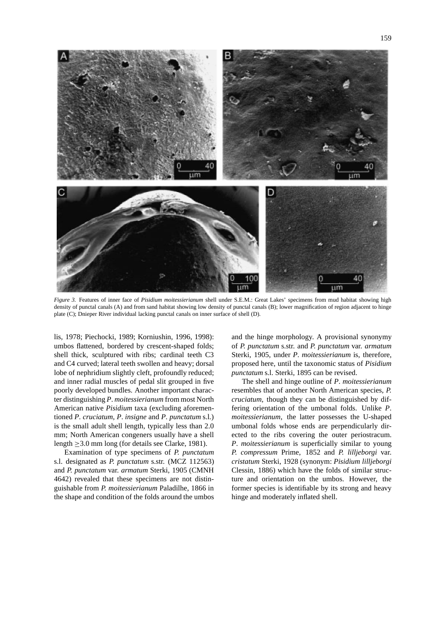

*Figure 3.* Features of inner face of *Pisidium moitessierianum* shell under S.E.M.: Great Lakes' specimens from mud habitat showing high density of punctal canals (A) and from sand habitat showing low density of punctal canals (B); lower magnification of region adjacent to hinge plate (C); Dnieper River individual lacking punctal canals on inner surface of shell (D).

lis, 1978; Piechocki, 1989; Korniushin, 1996, 1998): umbos flattened, bordered by crescent-shaped folds; shell thick, sculptured with ribs; cardinal teeth C3 and C4 curved; lateral teeth swollen and heavy; dorsal lobe of nephridium slightly cleft, profoundly reduced; and inner radial muscles of pedal slit grouped in five poorly developed bundles. Another important character distinguishing *P*. *moitessierianum* from most North American native *Pisidium* taxa (excluding aforementioned *P*. *cruciatum*, *P*. *insigne* and *P*. *punctatum* s.l.) is the small adult shell length, typically less than 2.0 mm; North American congeners usually have a shell length ≥3.0 mm long (for details see Clarke, 1981).

Examination of type specimens of *P. punctatum* s.l. designated as *P. punctatum* s.str. (MCZ 112563) and *P. punctatum* var. *armatum* Sterki, 1905 (CMNH 4642) revealed that these specimens are not distinguishable from *P. moitessierianum* Paladilhe, 1866 in the shape and condition of the folds around the umbos and the hinge morphology. A provisional synonymy of *P. punctatum* s.str. and *P. punctatum* var. *armatum* Sterki, 1905, under *P*. *moitessierianum* is, therefore, proposed here, until the taxonomic status of *Pisidium punctatum* s.l. Sterki, 1895 can be revised.

The shell and hinge outline of *P*. *moitessierianum* resembles that of another North American species, *P. cruciatum*, though they can be distinguished by differing orientation of the umbonal folds. Unlike *P*. *moitessierianum*, the latter possesses the U-shaped umbonal folds whose ends are perpendicularly directed to the ribs covering the outer periostracum. *P*. *moitessierianum* is superficially similar to young *P. compressum* Prime, 1852 and *P. lilljeborgi* var. *cristatum* Sterki, 1928 (synonym: *Pisidium lilljeborgi* Clessin, 1886) which have the folds of similar structure and orientation on the umbos. However, the former species is identifiable by its strong and heavy hinge and moderately inflated shell.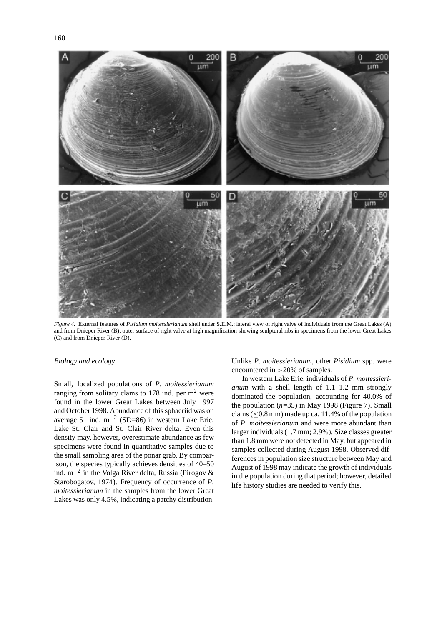

*Figure 4.* External features of *Pisidium moitessierianum* shell under S.E.M.: lateral view of right valve of individuals from the Great Lakes (A) and from Dnieper River (B); outer surface of right valve at high magnification showing sculptural ribs in specimens from the lower Great Lakes (C) and from Dnieper River (D).

## *Biology and ecology*

Small, localized populations of *P*. *moitessierianum* ranging from solitary clams to  $178$  ind. per m<sup>2</sup> were found in the lower Great Lakes between July 1997 and October 1998. Abundance of this sphaeriid was on average 51 ind. m<sup>-2</sup> (SD=86) in western Lake Erie, Lake St. Clair and St. Clair River delta. Even this density may, however, overestimate abundance as few specimens were found in quantitative samples due to the small sampling area of the ponar grab. By comparison, the species typically achieves densities of 40–50 ind. m−<sup>2</sup> in the Volga River delta, Russia (Pirogov & Starobogatov, 1974). Frequency of occurrence of *P*. *moitessierianum* in the samples from the lower Great Lakes was only 4.5%, indicating a patchy distribution.

Unlike *P*. *moitessierianum*, other *Pisidium* spp. were encountered in *>*20% of samples.

In western Lake Erie, individuals of *P*. *moitessierianum* with a shell length of 1.1–1.2 mm strongly dominated the population, accounting for 40.0% of the population  $(n=35)$  in May 1998 (Figure 7). Small clams ( $\leq$ 0.8 mm) made up ca. 11.4% of the population of *P*. *moitessierianum* and were more abundant than larger individuals (1.7 mm; 2.9%). Size classes greater than 1.8 mm were not detected in May, but appeared in samples collected during August 1998. Observed differences in population size structure between May and August of 1998 may indicate the growth of individuals in the population during that period; however, detailed life history studies are needed to verify this.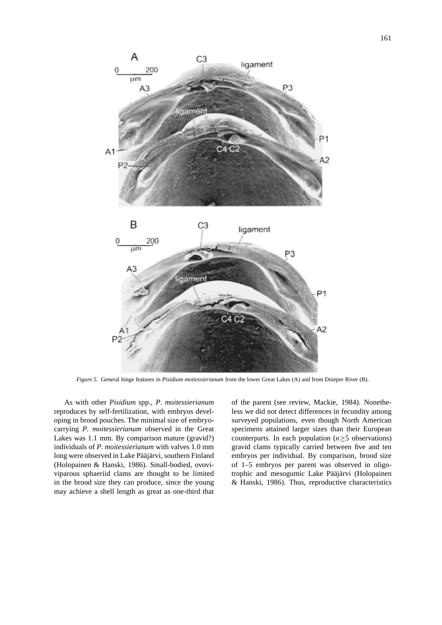

*Figure 5.* General hinge features in *Pisidium moitessierianum* from the lower Great Lakes (A) and from Dnieper River (B).

As with other *Pisidium* spp., *P*. *moitessierianum* reproduces by self-fertilization, with embryos developing in brood pouches. The minimal size of embryocarrying *P*. *moitessierianum* observed in the Great Lakes was 1.1 mm. By comparison mature (gravid?) individuals of *P*. *moitessierianum* with valves 1.0 mm long were observed in Lake Pääjärvi, southern Finland (Holopainen & Hanski, 1986). Small-bodied, ovoviviparous sphaeriid clams are thought to be limited in the brood size they can produce, since the young may achieve a shell length as great as one-third that of the parent (see review, Mackie, 1984). Nonetheless we did not detect differences in fecundity among surveyed populations, even though North American specimens attained larger sizes than their European counterparts. In each population  $(n \geq 5)$  observations) gravid clams typically carried between five and ten embryos per individual. By comparison, brood size of 1–5 embryos per parent was observed in oligotrophic and mesogumic Lake Pääjärvi (Holopainen & Hanski, 1986). Thus, reproductive characteristics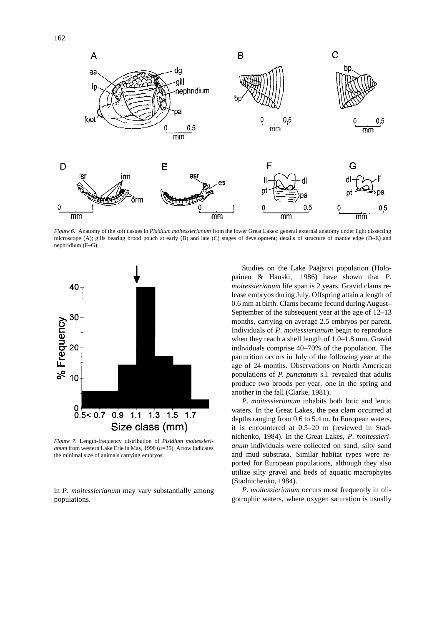

*Figure 6.* Anatomy of the soft tissues in *Pisidium moitessierianum* from the lower Great Lakes: general external anatomy under light dissecting microscope (A); gills bearing brood pouch at early (B) and late (C) stages of development; details of structure of mantle edge (D–E) and nephridium (F–G).



*Figure 7.* Length-frequency distribution of *Pisidium moitessierianum* from western Lake Erie in May, 1998 (*n*=35). Arrow indicates the minimal size of animals carrying embryos.

in *P*. *moitessierianum* may vary substantially among populations.

Studies on the Lake Pääjärvi population (Holopainen & Hanski, 1986) have shown that *P*. *moitessierianum* life span is 2 years. Gravid clams release embryos during July. Offspring attain a length of 0.6 mm at birth. Clams became fecund during August– September of the subsequent year at the age of 12–13 months, carrying on average 2.5 embryos per parent. Individuals of *P*. *moitessierianum* begin to reproduce when they reach a shell length of 1.0–1.8 mm. Gravid individuals comprise 40–70% of the population. The parturition occurs in July of the following year at the age of 24 months. Observations on North American populations of *P. punctatum* s.l. revealed that adults produce two broods per year, one in the spring and another in the fall (Clarke, 1981).

*P*. *moitessierianum* inhabits both lotic and lentic waters. In the Great Lakes, the pea clam occurred at depths ranging from 0.6 to 5.4 m. In European waters, it is encountered at 0.5–20 m (reviewed in Stadnichenko, 1984). In the Great Lakes, *P*. *moitessierianum* individuals were collected on sand, silty sand and mud substrata. Similar habitat types were reported for European populations, although they also utilize silty gravel and beds of aquatic macrophytes (Stadnichenko, 1984).

*P*. *moitessierianum* occurs most frequently in oligotrophic waters, where oxygen saturation is usually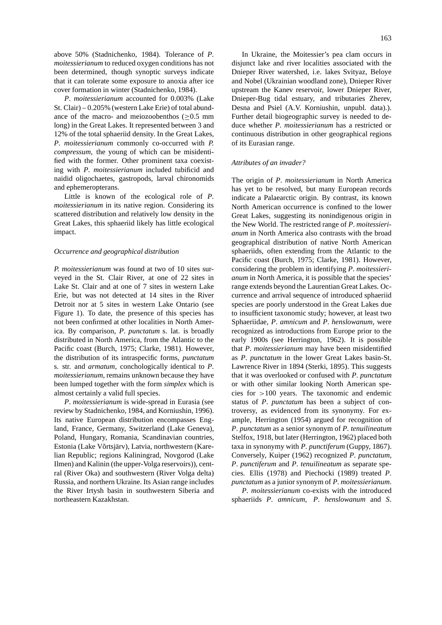above 50% (Stadnichenko, 1984). Tolerance of *P*. *moitessierianum* to reduced oxygen conditions has not been determined, though synoptic surveys indicate that it can tolerate some exposure to anoxia after ice cover formation in winter (Stadnichenko, 1984).

*P*. *moitessierianum* accounted for 0.003% (Lake St. Clair) – 0.205% (western Lake Erie) of total abundance of the macro- and meiozoobenthos  $(>0.5$  mm long) in the Great Lakes. It represented between 3 and 12% of the total sphaeriid density. In the Great Lakes, *P*. *moitessierianum* commonly co-occurred with *P. compressum*, the young of which can be misidentified with the former. Other prominent taxa coexisting with *P*. *moitessierianum* included tubificid and naidid oligochaetes, gastropods, larval chironomids and ephemeropterans.

Little is known of the ecological role of *P*. *moitessierianum* in its native region. Considering its scattered distribution and relatively low density in the Great Lakes, this sphaeriid likely has little ecological impact.

#### *Occurrence and geographical distribution*

*P. moitessierianum* was found at two of 10 sites surveyed in the St. Clair River, at one of 22 sites in Lake St. Clair and at one of 7 sites in western Lake Erie, but was not detected at 14 sites in the River Detroit nor at 5 sites in western Lake Ontario (see Figure 1). To date, the presence of this species has not been confirmed at other localities in North America. By comparison, *P*. *punctatum* s. lat. is broadly distributed in North America, from the Atlantic to the Pacific coast (Burch, 1975; Clarke, 1981). However, the distribution of its intraspecific forms, *punctatum* s. str. and *armatum*, conchologically identical to *P*. *moitessierianum*, remains unknown because they have been lumped together with the form *simplex* which is almost certainly a valid full species.

*P*. *moitessierianum* is wide-spread in Eurasia (see review by Stadnichenko, 1984, and Korniushin, 1996). Its native European distribution encompasses England, France, Germany, Switzerland (Lake Geneva), Poland, Hungary, Romania, Scandinavian countries, Estonia (Lake Võrtsjärv), Latvia, northwestern (Karelian Republic; regions Kaliningrad, Novgorod (Lake Ilmen) and Kalinin (the upper-Volga reservoirs)), central (River Oka) and southwestern (River Volga delta) Russia, and northern Ukraine. Its Asian range includes the River Irtysh basin in southwestern Siberia and northeastern Kazakhstan.

In Ukraine, the Moitessier's pea clam occurs in disjunct lake and river localities associated with the Dnieper River watershed, i.e. lakes Svityaz, Beloye and Nobel (Ukrainian woodland zone), Dnieper River upstream the Kanev reservoir, lower Dnieper River, Dnieper-Bug tidal estuary, and tributaries Zherev, Desna and Psiel (A.V. Korniushin, unpubl. data).). Further detail biogeographic survey is needed to deduce whether *P*. *moitessierianum* has a restricted or continuous distribution in other geographical regions of its Eurasian range.

#### *Attributes of an invader?*

The origin of *P*. *moitessierianum* in North America has yet to be resolved, but many European records indicate a Palaearctic origin. By contrast, its known North American occurrence is confined to the lower Great Lakes, suggesting its nonindigenous origin in the New World. The restricted range of *P*. *moitessierianum* in North America also contrasts with the broad geographical distribution of native North American sphaeriids, often extending from the Atlantic to the Pacific coast (Burch, 1975; Clarke, 1981). However, considering the problem in identifying *P*. *moitessierianum* in North America, it is possible that the species' range extends beyond the Laurentian Great Lakes. Occurrence and arrival sequence of introduced sphaeriid species are poorly understood in the Great Lakes due to insufficient taxonomic study; however, at least two Sphaeriidae, *P*. *amnicum* and *P*. *henslowanum*, were recognized as introductions from Europe prior to the early 1900s (see Herrington, 1962). It is possible that *P*. *moitessierianum* may have been misidentified as *P*. *punctatum* in the lower Great Lakes basin-St. Lawrence River in 1894 (Sterki, 1895). This suggests that it was overlooked or confused with *P*. *punctatum* or with other similar looking North American species for *>*100 years. The taxonomic and endemic status of *P*. *punctatum* has been a subject of controversy, as evidenced from its synonymy. For example, Herrington (1954) argued for recognition of *P*. *punctatum* as a senior synonym of *P*. *tenuilineatum* Stelfox, 1918, but later (Herrington, 1962) placed both taxa in synonymy with *P*. *punctiferum* (Guppy, 1867). Conversely, Kuiper (1962) recognized *P*. *punctatum*, *P*. *punctiferum* and *P*. *tenuilineatum* as separate species. Ellis (1978) and Piechocki (1989) treated *P*. *punctatum* as a junior synonym of *P*. *moitessierianum*.

*P*. *moitessierianum* co-exists with the introduced sphaeriids *P*. *amnicum*, *P*. *henslowanum* and *S*.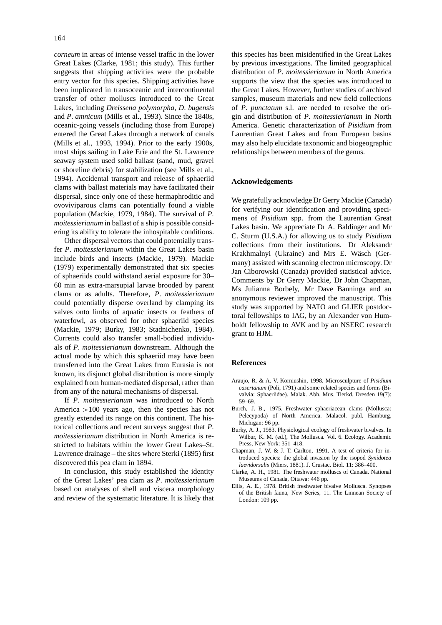*corneum* in areas of intense vessel traffic in the lower Great Lakes (Clarke, 1981; this study). This further suggests that shipping activities were the probable entry vector for this species. Shipping activities have been implicated in transoceanic and intercontinental transfer of other molluscs introduced to the Great Lakes, including *Dreissena polymorpha*, *D*. *bugensis* and *P*. *amnicum* (Mills et al., 1993). Since the 1840s, oceanic-going vessels (including those from Europe) entered the Great Lakes through a network of canals (Mills et al., 1993, 1994). Prior to the early 1900s, most ships sailing in Lake Erie and the St. Lawrence seaway system used solid ballast (sand, mud, gravel or shoreline debris) for stabilization (see Mills et al., 1994). Accidental transport and release of sphaeriid clams with ballast materials may have facilitated their dispersal, since only one of these hermaphroditic and ovoviviparous clams can potentially found a viable population (Mackie, 1979, 1984). The survival of *P*. *moitessierianum* in ballast of a ship is possible considering its ability to tolerate the inhospitable conditions.

Other dispersal vectors that could potentially transfer *P*. *moitessierianum* within the Great Lakes basin include birds and insects (Mackie, 1979). Mackie (1979) experimentally demonstrated that six species of sphaeriids could withstand aerial exposure for 30– 60 min as extra-marsupial larvae brooded by parent clams or as adults. Therefore, *P*. *moitessierianum* could potentially disperse overland by clamping its valves onto limbs of aquatic insects or feathers of waterfowl, as observed for other sphaeriid species (Mackie, 1979; Burky, 1983; Stadnichenko, 1984). Currents could also transfer small-bodied individuals of *P*. *moitessierianum* downstream. Although the actual mode by which this sphaeriid may have been transferred into the Great Lakes from Eurasia is not known, its disjunct global distribution is more simply explained from human-mediated dispersal, rather than from any of the natural mechanisms of dispersal.

If *P*. *moitessierianum* was introduced to North America *>*100 years ago, then the species has not greatly extended its range on this continent. The historical collections and recent surveys suggest that *P*. *moitessierianum* distribution in North America is restricted to habitats within the lower Great Lakes–St. Lawrence drainage – the sites where Sterki (1895) first discovered this pea clam in 1894.

In conclusion, this study established the identity of the Great Lakes' pea clam as *P*. *moitessierianum* based on analyses of shell and viscera morphology and review of the systematic literature. It is likely that this species has been misidentified in the Great Lakes by previous investigations. The limited geographical distribution of *P*. *moitessierianum* in North America supports the view that the species was introduced to the Great Lakes. However, further studies of archived samples, museum materials and new field collections of *P*. *punctatum* s.l. are needed to resolve the origin and distribution of *P*. *moitessierianum* in North America. Genetic characterization of *Pisidium* from Laurentian Great Lakes and from European basins may also help elucidate taxonomic and biogeographic relationships between members of the genus.

## **Acknowledgements**

We gratefully acknowledge Dr Gerry Mackie (Canada) for verifying our identification and providing specimens of *Pisidium* spp. from the Laurentian Great Lakes basin. We appreciate Dr A. Baldinger and Mr C. Sturm (U.S.A.) for allowing us to study *Pisidium* collections from their institutions. Dr Aleksandr Krakhmalnyi (Ukraine) and Mrs E. Wäsch (Germany) assisted with scanning electron microscopy. Dr Jan Ciborowski (Canada) provided statistical advice. Comments by Dr Gerry Mackie, Dr John Chapman, Ms Julianna Borbely, Mr Dave Banninga and an anonymous reviewer improved the manuscript. This study was supported by NATO and GLIER postdoctoral fellowships to IAG, by an Alexander von Humboldt fellowship to AVK and by an NSERC research grant to HJM.

## **References**

- Araujo, R. & A. V. Korniushin, 1998. Microsculpture of *Pisidium casertanum* (Poli, 1791) and some related species and forms (Bivalvia: Sphaeriidae). Malak. Abh. Mus. Tierkd. Dresden 19(7): 59–69.
- Burch, J. B., 1975. Freshwater sphaeriacean clams (Mollusca: Pelecypoda) of North America. Malacol. publ. Hamburg, Michigan: 96 pp.
- Burky, A. J., 1983. Physiological ecology of freshwater bivalves. In Wilbur, K. M. (ed.), The Mollusca. Vol. 6. Ecology. Academic Press, New York: 351–418.
- Chapman, J. W. & J. T. Carlton, 1991. A test of criteria for introduced species: the global invasion by the isopod *Synidotea laevidorsalis* (Miers, 1881). J. Crustac. Biol. 11: 386–400.
- Clarke, A. H., 1981. The freshwater molluscs of Canada. National Museums of Canada, Ottawa: 446 pp.
- Ellis, A. E., 1978. British freshwater bivalve Mollusca. Synopses of the British fauna, New Series, 11. The Linnean Society of London: 109 pp.